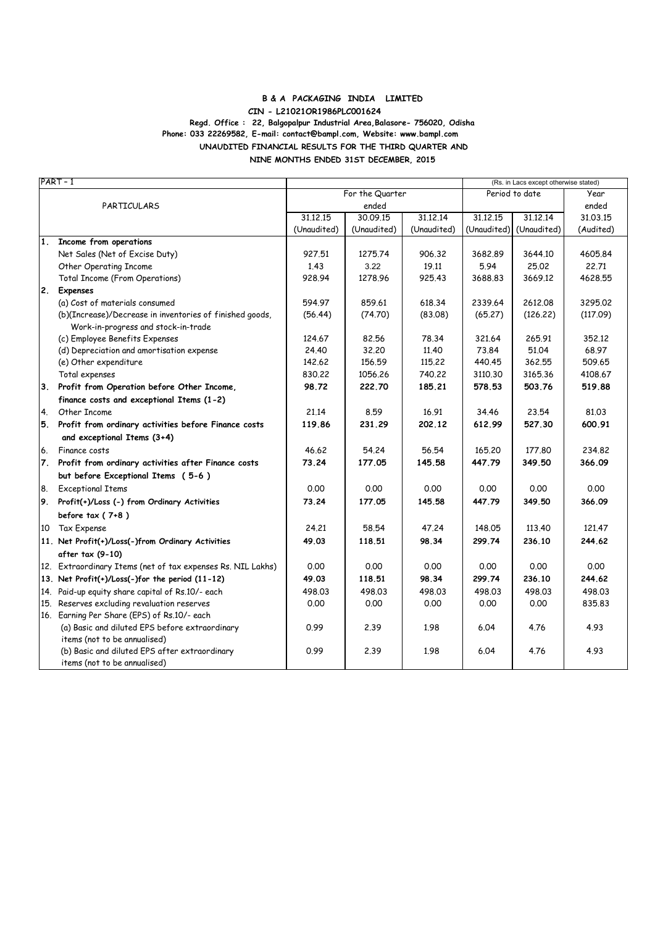#### **B & A PACKAGING INDIA LIMITED Regd. Office : 22, Balgopalpur Industrial Area,Balasore- 756020, Odisha UNAUDITED FINANCIAL RESULTS FOR THE THIRD QUARTER AND NINE MONTHS ENDED 31ST DECEMBER, 2015 CIN - L21021OR1986PLC001624 Phone: 033 22269582, E-mail: contact@bampl.com, Website: www.bampl.com**

| PART-1      |                                                             |             |                 |             | (Rs. in Lacs except otherwise stated) |             |           |  |
|-------------|-------------------------------------------------------------|-------------|-----------------|-------------|---------------------------------------|-------------|-----------|--|
|             |                                                             |             | For the Quarter |             | Period to date                        |             | Year      |  |
| PARTICULARS |                                                             | ended       |                 |             |                                       |             | ended     |  |
|             |                                                             | 31.12.15    | 30.09.15        | 31.12.14    | 31.12.15                              | 31.12.14    | 31.03.15  |  |
|             |                                                             | (Unaudited) | (Unaudited)     | (Unaudited) | (Unaudited)                           | (Unaudited) | (Audited) |  |
| 1.          | Income from operations                                      |             |                 |             |                                       |             |           |  |
|             | Net Sales (Net of Excise Duty)                              | 927.51      | 1275.74         | 906.32      | 3682.89                               | 3644.10     | 4605.84   |  |
|             | Other Operating Income                                      | 1.43        | 3.22            | 19.11       | 5.94                                  | 25.02       | 22.71     |  |
|             | <b>Total Income (From Operations)</b>                       | 928.94      | 1278.96         | 925.43      | 3688.83                               | 3669.12     | 4628.55   |  |
|             | 2. Expenses                                                 |             |                 |             |                                       |             |           |  |
|             | (a) Cost of materials consumed                              | 594.97      | 859.61          | 618.34      | 2339.64                               | 2612.08     | 3295.02   |  |
|             | (b)(Increase)/Decrease in inventories of finished goods,    | (56.44)     | (74.70)         | (83.08)     | (65.27)                               | (126.22)    | (117.09)  |  |
|             | Work-in-progress and stock-in-trade                         |             |                 |             |                                       |             |           |  |
|             | (c) Employee Benefits Expenses                              | 124.67      | 82.56           | 78.34       | 321.64                                | 265.91      | 352.12    |  |
|             | (d) Depreciation and amortisation expense                   | 24.40       | 32,20           | 11,40       | 73.84                                 | 51.04       | 68.97     |  |
|             | (e) Other expenditure                                       | 142,62      | 156.59          | 115,22      | 440.45                                | 362,55      | 509.65    |  |
|             | Total expenses                                              | 830,22      | 1056.26         | 740,22      | 3110.30                               | 3165.36     | 4108.67   |  |
| 3.          | Profit from Operation before Other Income,                  | 98.72       | 222.70          | 185.21      | 578.53                                | 503.76      | 519.88    |  |
|             | finance costs and exceptional Items (1-2)                   |             |                 |             |                                       |             |           |  |
| 4.          | Other Income                                                | 21,14       | 8.59            | 16.91       | 34.46                                 | 23.54       | 81.03     |  |
| 5.          | Profit from ordinary activities before Finance costs        | 119.86      | 231.29          | 202.12      | 612.99                                | 527.30      | 600.91    |  |
|             | and exceptional Items (3+4)                                 |             |                 |             |                                       |             |           |  |
| 6.          | Finance costs                                               | 46.62       | 54.24           | 56.54       | 165.20                                | 177.80      | 234.82    |  |
| 7.          | Profit from ordinary activities after Finance costs         | 73.24       | 177.05          | 145.58      | 447.79                                | 349.50      | 366.09    |  |
|             | but before Exceptional Items (5-6)                          |             |                 |             |                                       |             |           |  |
| 8.          | <b>Exceptional Items</b>                                    | 0.00        | 0.00            | 0.00        | 0.00                                  | 0.00        | 0.00      |  |
| 9.          | Profit(+)/Loss (-) from Ordinary Activities                 | 73.24       | 177.05          | 145.58      | 447.79                                | 349.50      | 366.09    |  |
|             | before tax $(7+8)$                                          |             |                 |             |                                       |             |           |  |
| 10          | Tax Expense                                                 | 24.21       | 58.54           | 47.24       | 148.05                                | 113.40      | 121.47    |  |
|             | 11. Net Profit(+)/Loss(-)from Ordinary Activities           | 49.03       | 118.51          | 98.34       | 299.74                                | 236.10      | 244.62    |  |
|             | after tax (9-10)                                            |             |                 |             |                                       |             |           |  |
|             | 12. Extraordinary Items (net of tax expenses Rs. NIL Lakhs) | 0.00        | 0.00            | 0.00        | 0.00                                  | 0.00        | 0.00      |  |
|             | 13. Net Profit(+)/Loss(-)for the period (11-12)             | 49.03       | 118.51          | 98.34       | 299.74                                | 236.10      | 244.62    |  |
|             | 14. Paid-up equity share capital of Rs.10/- each            | 498.03      | 498.03          | 498.03      | 498.03                                | 498.03      | 498.03    |  |
| 15.         | Reserves excluding revaluation reserves                     | 0.00        | 0.00            | 0.00        | 0.00                                  | 0.00        | 835.83    |  |
|             | 16. Earning Per Share (EPS) of Rs.10/- each                 |             |                 |             |                                       |             |           |  |
|             | (a) Basic and diluted EPS before extraordinary              | 0.99        | 2.39            | 1.98        | 6.04                                  | 4.76        | 4.93      |  |
|             | items (not to be annualised)                                |             |                 |             |                                       |             |           |  |
|             | (b) Basic and diluted EPS after extraordinary               | 0.99        | 2.39            | 1.98        | 6.04                                  | 4.76        | 4.93      |  |
|             | items (not to be annualised)                                |             |                 |             |                                       |             |           |  |